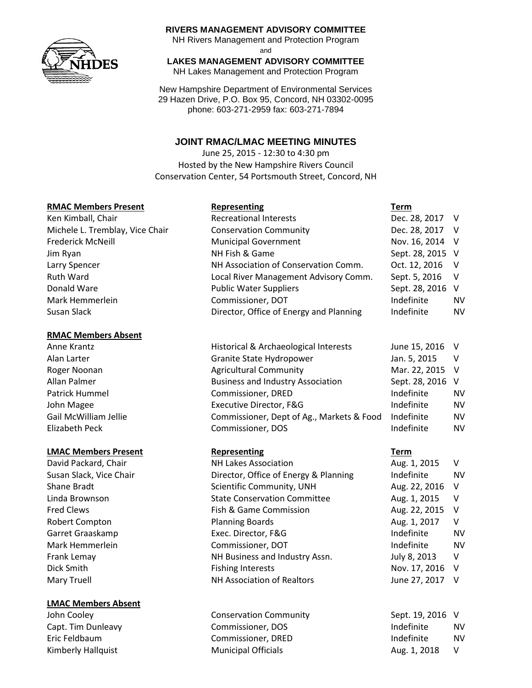

#### **RIVERS MANAGEMENT ADVISORY COMMITTEE**

NH Rivers Management and Protection Program and

## **LAKES MANAGEMENT ADVISORY COMMITTEE**

NH Lakes Management and Protection Program

New Hampshire Department of Environmental Services 29 Hazen Drive, P.O. Box 95, Concord, NH 03302-0095 phone: 603-271-2959 fax: 603-271-7894

## **JOINT RMAC/LMAC MEETING MINUTES**

June 25, 2015 - 12:30 to 4:30 pm Hosted by the New Hampshire Rivers Council Conservation Center, 54 Portsmouth Street, Concord, NH

#### **RMAC Members Present**

#### **RMAC Members Absent**

## **LMAC Members Present Representing Term**

David Packard, Chair NH Lakes Association Robert Compton Planning Boards Garret Graaskamp Exec. Director, F&G Mark Hemmerlein Commissioner, DOT Dick Smith **Fishing Interests** 

## **LMAC Members Absent**

| <b>RMAC Members Present</b>     | Representing                            | Term             |    |
|---------------------------------|-----------------------------------------|------------------|----|
| Ken Kimball, Chair              | <b>Recreational Interests</b>           | Dec. 28, 2017 V  |    |
| Michele L. Tremblay, Vice Chair | <b>Conservation Community</b>           | Dec. 28, 2017 V  |    |
| Frederick McNeill               | <b>Municipal Government</b>             | Nov. 16, 2014 V  |    |
| Jim Ryan                        | NH Fish & Game                          | Sept. 28, 2015 V |    |
| Larry Spencer                   | NH Association of Conservation Comm.    | Oct. 12, 2016 V  |    |
| Ruth Ward                       | Local River Management Advisory Comm.   | Sept. 5, 2016    | V  |
| Donald Ware                     | <b>Public Water Suppliers</b>           | Sept. 28, 2016 V |    |
| Mark Hemmerlein                 | Commissioner, DOT                       | Indefinite       | NV |
| Susan Slack                     | Director, Office of Energy and Planning | Indefinite       | NV |

| Anne Krantz           | Historical & Archaeological Interests     | June 15, 2016 V  |           |
|-----------------------|-------------------------------------------|------------------|-----------|
| Alan Larter           | Granite State Hydropower                  | Jan. 5, 2015     |           |
| Roger Noonan          | <b>Agricultural Community</b>             | Mar. 22, 2015 V  |           |
| Allan Palmer          | <b>Business and Industry Association</b>  | Sept. 28, 2016 V |           |
| Patrick Hummel        | <b>Commissioner, DRED</b>                 | Indefinite       | <b>NV</b> |
| John Magee            | Executive Director, F&G                   | Indefinite       | <b>NV</b> |
| Gail McWilliam Jellie | Commissioner, Dept of Ag., Markets & Food | Indefinite       | <b>NV</b> |
| Elizabeth Peck        | Commissioner, DOS                         | Indefinite       | <b>NV</b> |

Susan Slack, Vice Chair **Director, Office of Energy & Planning** Indefinite Number Shane Bradt Scientific Community, UNH Linda Brownson **State Conservation Committee** Aug. 1, 2015 View Aug. 2016 View Aug. 2016 View Aug. 2016 View Aug. 2015 View Aug. 2015 View Aug. 2015 View Aug. 2015 View Aug. 2015 View Aug. 2015 View Aug. 2015 View Aug. 201 Fred Clews Fish & Game Commission Frank Lemay **NH Business and Industry Assn.** July 8, 2013 V. Mary Truell NH Association of Realtors And NH Association of Realtors June 2017

John Cooley **Conservation Community** Sept. 19, 2016 V Capt. Tim Dunleavy Commissioner, DOS Indefinite NV Eric Feldbaum Commissioner, DRED Indefinite NV Kimberly Hallquist **Municipal Officials** Aug. 1, 2018 V

| Aug. 1, 2015  | v      |
|---------------|--------|
| Indefinite    | N۷     |
| Aug. 22, 2016 | $\vee$ |
| Aug. 1, 2015  | v      |
| Aug. 22, 2015 | v      |
| Aug. 1, 2017  | v      |
| Indefinite    | N٧     |
| Indefinite    | N٧     |
| July 8, 2013  | v      |
| Nov. 17, 2016 | v      |
| June 27, 2017 | v      |
|               |        |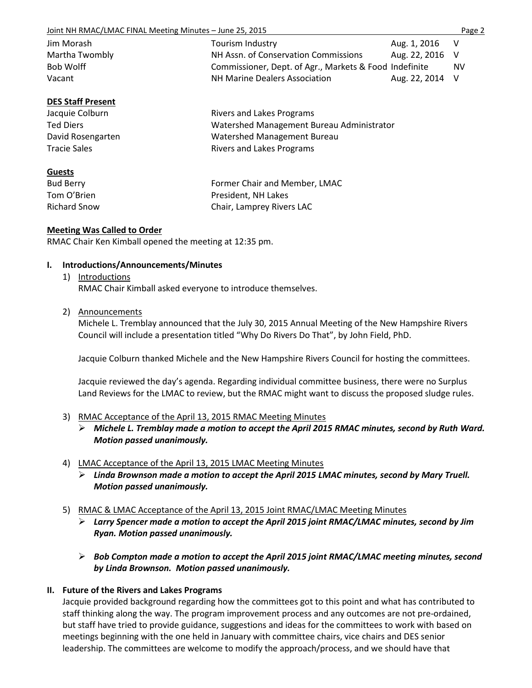Joint NH RMAC/LMAC FINAL Meeting Minutes – June 25, 2015 **Page 2** Page 2

| Jim Morash     | Tourism Industry                                       | Aug. 1, 2016 V  |     |
|----------------|--------------------------------------------------------|-----------------|-----|
| Martha Twombly | NH Assn. of Conservation Commissions                   | Aug. 22, 2016 V |     |
| Bob Wolff      | Commissioner, Dept. of Agr., Markets & Food Indefinite |                 | NV. |
| Vacant         | <b>NH Marine Dealers Association</b>                   | Aug. 22, 2014 V |     |

## **DES Staff Present**

Jacquie Colburn **Rivers** and Lakes Programs Ted Diers Watershed Management Bureau Administrator David Rosengarten Watershed Management Bureau Tracie Sales **Rivers** and Lakes Programs

**Guests**

Richard Snow Chair, Lamprey Rivers LAC

Bud Berry Former Chair and Member, LMAC Tom O'Brien **President**, NH Lakes

## **Meeting Was Called to Order**

RMAC Chair Ken Kimball opened the meeting at 12:35 pm.

## **I. Introductions/Announcements/Minutes**

- 1) Introductions RMAC Chair Kimball asked everyone to introduce themselves.
- 2) Announcements

Michele L. Tremblay announced that the July 30, 2015 Annual Meeting of the New Hampshire Rivers Council will include a presentation titled "Why Do Rivers Do That", by John Field, PhD.

Jacquie Colburn thanked Michele and the New Hampshire Rivers Council for hosting the committees.

Jacquie reviewed the day's agenda. Regarding individual committee business, there were no Surplus Land Reviews for the LMAC to review, but the RMAC might want to discuss the proposed sludge rules.

## 3) RMAC Acceptance of the April 13, 2015 RMAC Meeting Minutes

- *Michele L. Tremblay made a motion to accept the April 2015 RMAC minutes, second by Ruth Ward. Motion passed unanimously.*
- 4) LMAC Acceptance of the April 13, 2015 LMAC Meeting Minutes
	- *Linda Brownson made a motion to accept the April 2015 LMAC minutes, second by Mary Truell. Motion passed unanimously.*
- 5) RMAC & LMAC Acceptance of the April 13, 2015 Joint RMAC/LMAC Meeting Minutes
	- *Larry Spencer made a motion to accept the April 2015 joint RMAC/LMAC minutes, second by Jim Ryan. Motion passed unanimously.*
	- *Bob Compton made a motion to accept the April 2015 joint RMAC/LMAC meeting minutes, second by Linda Brownson. Motion passed unanimously.*

# **II. Future of the Rivers and Lakes Programs**

Jacquie provided background regarding how the committees got to this point and what has contributed to staff thinking along the way. The program improvement process and any outcomes are not pre-ordained, but staff have tried to provide guidance, suggestions and ideas for the committees to work with based on meetings beginning with the one held in January with committee chairs, vice chairs and DES senior leadership. The committees are welcome to modify the approach/process, and we should have that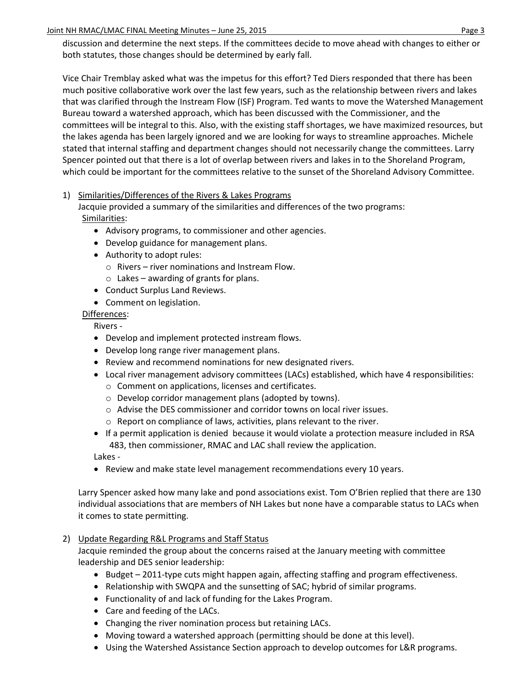## Joint NH RMAC/LMAC FINAL Meeting Minutes – June 25, 2015 **Page 3** Page 3

discussion and determine the next steps. If the committees decide to move ahead with changes to either or both statutes, those changes should be determined by early fall.

Vice Chair Tremblay asked what was the impetus for this effort? Ted Diers responded that there has been much positive collaborative work over the last few years, such as the relationship between rivers and lakes that was clarified through the Instream Flow (ISF) Program. Ted wants to move the Watershed Management Bureau toward a watershed approach, which has been discussed with the Commissioner, and the committees will be integral to this. Also, with the existing staff shortages, we have maximized resources, but the lakes agenda has been largely ignored and we are looking for ways to streamline approaches. Michele stated that internal staffing and department changes should not necessarily change the committees. Larry Spencer pointed out that there is a lot of overlap between rivers and lakes in to the Shoreland Program, which could be important for the committees relative to the sunset of the Shoreland Advisory Committee.

## 1) Similarities/Differences of the Rivers & Lakes Programs

Jacquie provided a summary of the similarities and differences of the two programs: Similarities:

- Advisory programs, to commissioner and other agencies.
- Develop guidance for management plans.
- Authority to adopt rules:
	- o Rivers river nominations and Instream Flow.
	- $\circ$  Lakes awarding of grants for plans.
- Conduct Surplus Land Reviews.
- Comment on legislation.

Differences:

Rivers -

- Develop and implement protected instream flows.
- Develop long range river management plans.
- Review and recommend nominations for new designated rivers.
- Local river management advisory committees (LACs) established, which have 4 responsibilities:
	- o Comment on applications, licenses and certificates.
	- o Develop corridor management plans (adopted by towns).
	- o Advise the DES commissioner and corridor towns on local river issues.
	- o Report on compliance of laws, activities, plans relevant to the river.
- If a permit application is denied because it would violate a protection measure included in RSA 483, then commissioner, RMAC and LAC shall review the application.

Lakes -

• Review and make state level management recommendations every 10 years.

Larry Spencer asked how many lake and pond associations exist. Tom O'Brien replied that there are 130 individual associations that are members of NH Lakes but none have a comparable status to LACs when it comes to state permitting.

## 2) Update Regarding R&L Programs and Staff Status

Jacquie reminded the group about the concerns raised at the January meeting with committee leadership and DES senior leadership:

- $\bullet$  Budget 2011-type cuts might happen again, affecting staffing and program effectiveness.
- Relationship with SWQPA and the sunsetting of SAC; hybrid of similar programs.
- Functionality of and lack of funding for the Lakes Program.
- Care and feeding of the LACs.
- Changing the river nomination process but retaining LACs.
- Moving toward a watershed approach (permitting should be done at this level).
- Using the Watershed Assistance Section approach to develop outcomes for L&R programs.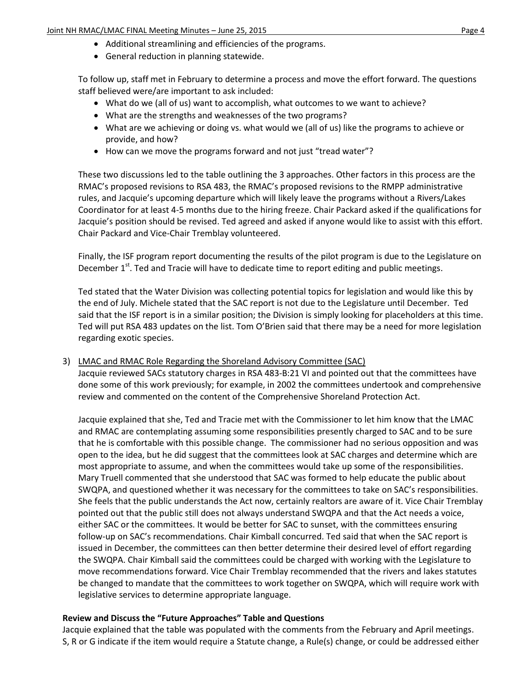- Additional streamlining and efficiencies of the programs.
- General reduction in planning statewide.

To follow up, staff met in February to determine a process and move the effort forward. The questions staff believed were/are important to ask included:

- What do we (all of us) want to accomplish, what outcomes to we want to achieve?
- What are the strengths and weaknesses of the two programs?
- What are we achieving or doing vs. what would we (all of us) like the programs to achieve or provide, and how?
- How can we move the programs forward and not just "tread water"?

These two discussions led to the table outlining the 3 approaches. Other factors in this process are the RMAC's proposed revisions to RSA 483, the RMAC's proposed revisions to the RMPP administrative rules, and Jacquie's upcoming departure which will likely leave the programs without a Rivers/Lakes Coordinator for at least 4-5 months due to the hiring freeze. Chair Packard asked if the qualifications for Jacquie's position should be revised. Ted agreed and asked if anyone would like to assist with this effort. Chair Packard and Vice-Chair Tremblay volunteered.

Finally, the ISF program report documenting the results of the pilot program is due to the Legislature on December 1<sup>st</sup>. Ted and Tracie will have to dedicate time to report editing and public meetings.

Ted stated that the Water Division was collecting potential topics for legislation and would like this by the end of July. Michele stated that the SAC report is not due to the Legislature until December. Ted said that the ISF report is in a similar position; the Division is simply looking for placeholders at this time. Ted will put RSA 483 updates on the list. Tom O'Brien said that there may be a need for more legislation regarding exotic species.

## 3) LMAC and RMAC Role Regarding the Shoreland Advisory Committee (SAC)

Jacquie reviewed SACs statutory charges in RSA 483-B:21 VI and pointed out that the committees have done some of this work previously; for example, in 2002 the committees undertook and comprehensive review and commented on the content of the Comprehensive Shoreland Protection Act.

Jacquie explained that she, Ted and Tracie met with the Commissioner to let him know that the LMAC and RMAC are contemplating assuming some responsibilities presently charged to SAC and to be sure that he is comfortable with this possible change. The commissioner had no serious opposition and was open to the idea, but he did suggest that the committees look at SAC charges and determine which are most appropriate to assume, and when the committees would take up some of the responsibilities. Mary Truell commented that she understood that SAC was formed to help educate the public about SWQPA, and questioned whether it was necessary for the committees to take on SAC's responsibilities. She feels that the public understands the Act now, certainly realtors are aware of it. Vice Chair Tremblay pointed out that the public still does not always understand SWQPA and that the Act needs a voice, either SAC or the committees. It would be better for SAC to sunset, with the committees ensuring follow-up on SAC's recommendations. Chair Kimball concurred. Ted said that when the SAC report is issued in December, the committees can then better determine their desired level of effort regarding the SWQPA. Chair Kimball said the committees could be charged with working with the Legislature to move recommendations forward. Vice Chair Tremblay recommended that the rivers and lakes statutes be changed to mandate that the committees to work together on SWQPA, which will require work with legislative services to determine appropriate language.

## **Review and Discuss the "Future Approaches" Table and Questions**

Jacquie explained that the table was populated with the comments from the February and April meetings. S, R or G indicate if the item would require a Statute change, a Rule(s) change, or could be addressed either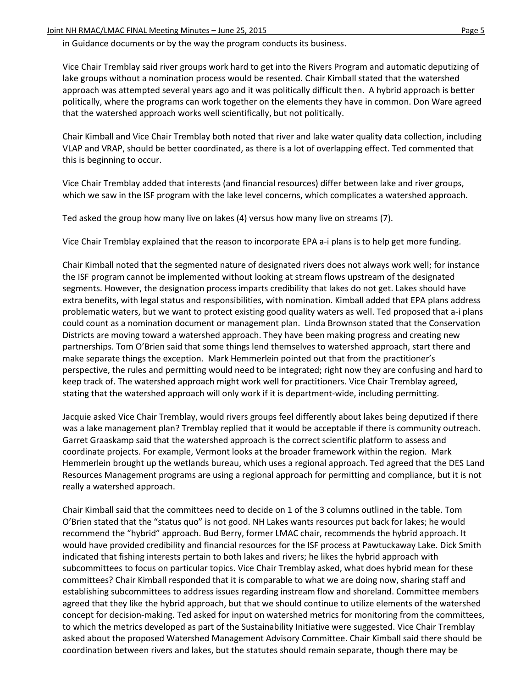in Guidance documents or by the way the program conducts its business.

Vice Chair Tremblay said river groups work hard to get into the Rivers Program and automatic deputizing of lake groups without a nomination process would be resented. Chair Kimball stated that the watershed approach was attempted several years ago and it was politically difficult then. A hybrid approach is better politically, where the programs can work together on the elements they have in common. Don Ware agreed that the watershed approach works well scientifically, but not politically.

Chair Kimball and Vice Chair Tremblay both noted that river and lake water quality data collection, including VLAP and VRAP, should be better coordinated, as there is a lot of overlapping effect. Ted commented that this is beginning to occur.

Vice Chair Tremblay added that interests (and financial resources) differ between lake and river groups, which we saw in the ISF program with the lake level concerns, which complicates a watershed approach.

Ted asked the group how many live on lakes (4) versus how many live on streams (7).

Vice Chair Tremblay explained that the reason to incorporate EPA a-i plans is to help get more funding.

Chair Kimball noted that the segmented nature of designated rivers does not always work well; for instance the ISF program cannot be implemented without looking at stream flows upstream of the designated segments. However, the designation process imparts credibility that lakes do not get. Lakes should have extra benefits, with legal status and responsibilities, with nomination. Kimball added that EPA plans address problematic waters, but we want to protect existing good quality waters as well. Ted proposed that a-i plans could count as a nomination document or management plan. Linda Brownson stated that the Conservation Districts are moving toward a watershed approach. They have been making progress and creating new partnerships. Tom O'Brien said that some things lend themselves to watershed approach, start there and make separate things the exception. Mark Hemmerlein pointed out that from the practitioner's perspective, the rules and permitting would need to be integrated; right now they are confusing and hard to keep track of. The watershed approach might work well for practitioners. Vice Chair Tremblay agreed, stating that the watershed approach will only work if it is department-wide, including permitting.

Jacquie asked Vice Chair Tremblay, would rivers groups feel differently about lakes being deputized if there was a lake management plan? Tremblay replied that it would be acceptable if there is community outreach. Garret Graaskamp said that the watershed approach is the correct scientific platform to assess and coordinate projects. For example, Vermont looks at the broader framework within the region. Mark Hemmerlein brought up the wetlands bureau, which uses a regional approach. Ted agreed that the DES Land Resources Management programs are using a regional approach for permitting and compliance, but it is not really a watershed approach.

Chair Kimball said that the committees need to decide on 1 of the 3 columns outlined in the table. Tom O'Brien stated that the "status quo" is not good. NH Lakes wants resources put back for lakes; he would recommend the "hybrid" approach. Bud Berry, former LMAC chair, recommends the hybrid approach. It would have provided credibility and financial resources for the ISF process at Pawtuckaway Lake. Dick Smith indicated that fishing interests pertain to both lakes and rivers; he likes the hybrid approach with subcommittees to focus on particular topics. Vice Chair Tremblay asked, what does hybrid mean for these committees? Chair Kimball responded that it is comparable to what we are doing now, sharing staff and establishing subcommittees to address issues regarding instream flow and shoreland. Committee members agreed that they like the hybrid approach, but that we should continue to utilize elements of the watershed concept for decision-making. Ted asked for input on watershed metrics for monitoring from the committees, to which the metrics developed as part of the Sustainability Initiative were suggested. Vice Chair Tremblay asked about the proposed Watershed Management Advisory Committee. Chair Kimball said there should be coordination between rivers and lakes, but the statutes should remain separate, though there may be